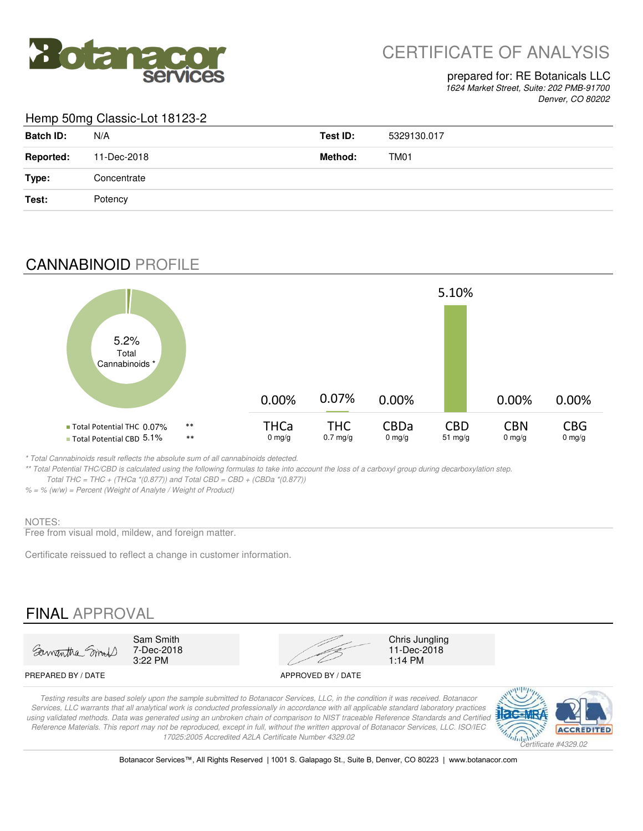

# CERTIFICATE OF ANALYSIS

### prepared for: RE Botanicals LLC

*1624 Market Street, Suite: 202 PMB-91700 Denver, CO 80202*

### Hemp 50mg Classic-Lot 18123-2

| <b>Batch ID:</b> | N/A         | Test ID: | 5329130.017 |
|------------------|-------------|----------|-------------|
| <b>Reported:</b> | 11-Dec-2018 | Method:  | TM01        |
| Type:            | Concentrate |          |             |
| Test:            | Potency     |          |             |
|                  |             |          |             |

## CANNABINOID PROFILE



*\* Total Cannabinoids result reflects the absolute sum of all cannabinoids detected.*

*\*\* Total Potential THC/CBD is calculated using the following formulas to take into account the loss of a carboxyl group during decarboxylation step. Total THC = THC + (THCa \*(0.877)) and Total CBD = CBD + (CBDa \*(0.877))*

### *% = % (w/w) = Percent (Weight of Analyte / Weight of Product)*

#### NOTES:

Free from visual mold, mildew, and foreign matter.

Certificate reissued to reflect a change in customer information.

# FINAL APPROVAL



7-Dec-2018<br>3:22 PM



11-Dec-2018<br>1:14 PM

#### PREPARED BY / DATE APPROVED BY / DATE

*Testing results are based solely upon the sample submitted to Botanacor Services, LLC, in the condition it was received. Botanacor Services, LLC warrants that all analytical work is conducted professionally in accordance with all applicable standard laboratory practices*  using validated methods. Data was generated using an unbroken chain of comparison to NIST traceable Reference Standards and Certified *Reference Materials. This report may not be reproduced, except in full, without the written approval of Botanacor Services, LLC. ISO/IEC 17025:2005 Accredited A2LA Certificate Number 4329.02*



Botanacor Services™, All Rights Reserved | 1001 S. Galapago St., Suite B, Denver, CO 80223 | www.botanacor.com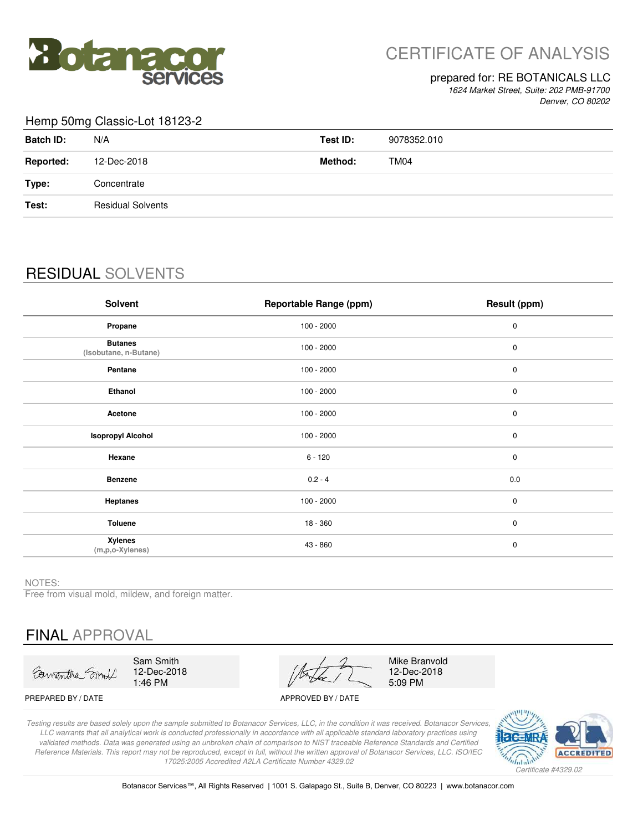

# CERTIFICATE OF ANALYSIS

#### prepared for: RE BOTANICALS LLC

*1624 Market Street, Suite: 202 PMB-91700 Denver, CO 80202*

### Hemp 50mg Classic-Lot 18123-2

| <b>Batch ID:</b> | N/A                      | Test ID: | 9078352.010 |
|------------------|--------------------------|----------|-------------|
| <b>Reported:</b> | 12-Dec-2018              | Method:  | TM04        |
| Type:            | Concentrate              |          |             |
| Test:            | <b>Residual Solvents</b> |          |             |
|                  |                          |          |             |

# RESIDUAL SOLVENTS

| <b>Solvent</b>                          | <b>Reportable Range (ppm)</b> | Result (ppm) |
|-----------------------------------------|-------------------------------|--------------|
| Propane                                 | $100 - 2000$                  | $\mathbf 0$  |
| <b>Butanes</b><br>(Isobutane, n-Butane) | $100 - 2000$                  | $\pmb{0}$    |
| Pentane                                 | $100 - 2000$                  | $\pmb{0}$    |
| Ethanol                                 | $100 - 2000$                  | $\pmb{0}$    |
| Acetone                                 | $100 - 2000$                  | $\pmb{0}$    |
| <b>Isopropyl Alcohol</b>                | $100 - 2000$                  | $\pmb{0}$    |
| Hexane                                  | $6 - 120$                     | $\mathbf 0$  |
| <b>Benzene</b>                          | $0.2 - 4$                     | 0.0          |
| <b>Heptanes</b>                         | $100 - 2000$                  | $\pmb{0}$    |
| Toluene                                 | $18 - 360$                    | $\pmb{0}$    |
| <b>Xylenes</b><br>(m,p,o-Xylenes)       | 43 - 860                      | $\pmb{0}$    |

NOTES:

Free from visual mold, mildew, and foreign matter.

# FINAL APPROVAL

Sawantha Smit

Sam Smith 12-Dec-2018 1:46 PM

Mike Branvold 12-Dec-2018 5:09 PM

PREPARED BY / DATE APPROVED BY / DATE

*Testing results are based solely upon the sample submitted to Botanacor Services, LLC, in the condition it was received. Botanacor Services, LLC warrants that all analytical work is conducted professionally in accordance with all applicable standard laboratory practices using validated methods. Data was generated using an unbroken chain of comparison to NIST traceable Reference Standards and Certified Reference Materials. This report may not be reproduced, except in full, without the written approval of Botanacor Services, LLC. ISO/IEC 17025:2005 Accredited A2LA Certificate Number 4329.02*



Botanacor Services™, All Rights Reserved | 1001 S. Galapago St., Suite B, Denver, CO 80223 | www.botanacor.com